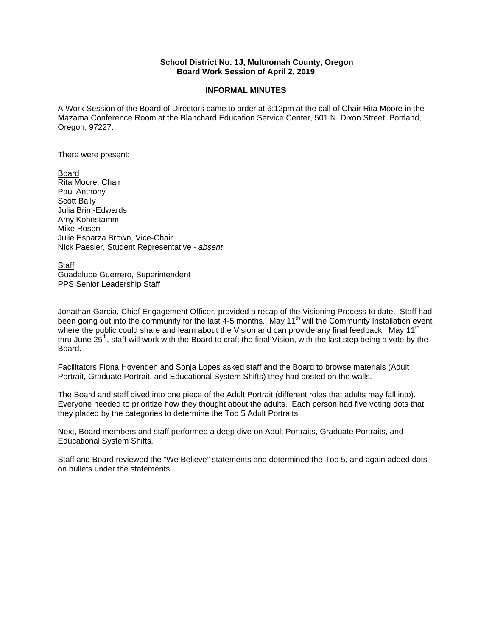## **School District No. 1J, Multnomah County, Oregon Board Work Session of April 2, 2019**

## **INFORMAL MINUTES**

A Work Session of the Board of Directors came to order at 6:12pm at the call of Chair Rita Moore in the Mazama Conference Room at the Blanchard Education Service Center, 501 N. Dixon Street, Portland, Oregon, 97227.

There were present:

Board Rita Moore, Chair Paul Anthony Scott Baily Julia Brim-Edwards Amy Kohnstamm Mike Rosen Julie Esparza Brown, Vice-Chair Nick Paesler, Student Representative - *absent* 

Staff Guadalupe Guerrero, Superintendent PPS Senior Leadership Staff

Jonathan Garcia, Chief Engagement Officer, provided a recap of the Visioning Process to date. Staff had been going out into the community for the last 4-5 months. May 11<sup>th</sup> will the Community Installation event where the public could share and learn about the Vision and can provide any final feedback. May 11<sup>th</sup> thru June 25<sup>th</sup>, staff will work with the Board to craft the final Vision, with the last step being a vote by the Board.

Facilitators Fiona Hovenden and Sonja Lopes asked staff and the Board to browse materials (Adult Portrait, Graduate Portrait, and Educational System Shifts) they had posted on the walls.

The Board and staff dived into one piece of the Adult Portrait (different roles that adults may fall into). Everyone needed to prioritize how they thought about the adults. Each person had five voting dots that they placed by the categories to determine the Top 5 Adult Portraits.

Next, Board members and staff performed a deep dive on Adult Portraits, Graduate Portraits, and Educational System Shifts.

Staff and Board reviewed the "We Believe" statements and determined the Top 5, and again added dots on bullets under the statements.